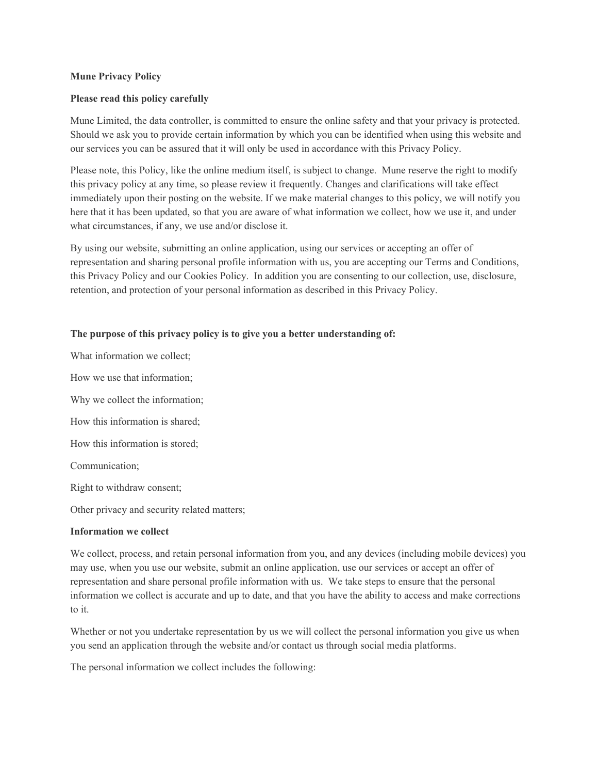## **Mune Privacy Policy**

### **Please read this policy carefully**

Mune Limited, the data controller, is committed to ensure the online safety and that your privacy is protected. Should we ask you to provide certain information by which you can be identified when using this website and our services you can be assured that it will only be used in accordance with this Privacy Policy.

Please note, this Policy, like the online medium itself, is subject to change. Mune reserve the right to modify this privacy policy at any time, so please review it frequently. Changes and clarifications will take effect immediately upon their posting on the website. If we make material changes to this policy, we will notify you here that it has been updated, so that you are aware of what information we collect, how we use it, and under what circumstances, if any, we use and/or disclose it.

By using our website, submitting an online application, using our services or accepting an offer of representation and sharing personal profile information with us, you are accepting our Terms and Conditions, this Privacy Policy and our Cookies Policy. In addition you are consenting to our collection, use, disclosure, retention, and protection of your personal information as described in this Privacy Policy.

## **The purpose of this privacy policy is to give you a better understanding of:**

What information we collect;

How we use that information;

Why we collect the information;

How this information is shared;

How this information is stored;

Communication;

Right to withdraw consent;

Other privacy and security related matters;

#### **Information we collect**

We collect, process, and retain personal information from you, and any devices (including mobile devices) you may use, when you use our website, submit an online application, use our services or accept an offer of representation and share personal profile information with us. We take steps to ensure that the personal information we collect is accurate and up to date, and that you have the ability to access and make corrections to it.

Whether or not you undertake representation by us we will collect the personal information you give us when you send an application through the website and/or contact us through social media platforms.

The personal information we collect includes the following: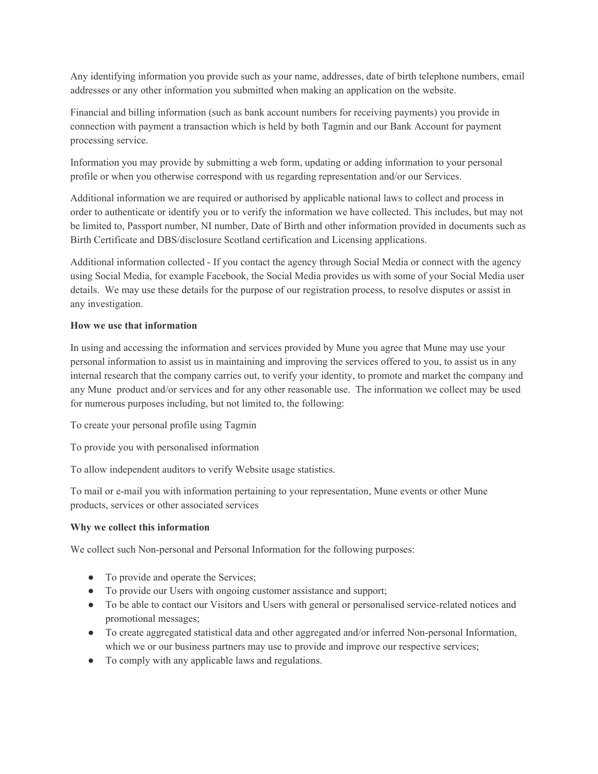Any identifying information you provide such as your name, addresses, date of birth telephone numbers, email addresses or any other information you submitted when making an application on the website.

Financial and billing information (such as bank account numbers for receiving payments) you provide in connection with payment a transaction which is held by both Tagmin and our Bank Account for payment processing service.

Information you may provide by submitting a web form, updating or adding information to your personal profile or when you otherwise correspond with us regarding representation and/or our Services.

Additional information we are required or authorised by applicable national laws to collect and process in order to authenticate or identify you or to verify the information we have collected. This includes, but may not be limited to, Passport number, NI number, Date of Birth and other information provided in documents such as Birth Certificate and DBS/disclosure Scotland certification and Licensing applications.

Additional information collected - If you contact the agency through Social Media or connect with the agency using Social Media, for example Facebook, the Social Media provides us with some of your Social Media user details. We may use these details for the purpose of our registration process, to resolve disputes or assist in any investigation.

# **How we use that information**

In using and accessing the information and services provided by Mune you agree that Mune may use your personal information to assist us in maintaining and improving the services offered to you, to assist us in any internal research that the company carries out, to verify your identity, to promote and market the company and any Mune product and/or services and for any other reasonable use. The information we collect may be used for numerous purposes including, but not limited to, the following:

To create your personal profile using Tagmin

To provide you with personalised information

To allow independent auditors to verify Website usage statistics.

To mail or e-mail you with information pertaining to your representation, Mune events or other Mune products, services or other associated services

# **Why we collect this information**

We collect such Non-personal and Personal Information for the following purposes:

- To provide and operate the Services;
- To provide our Users with ongoing customer assistance and support;
- To be able to contact our Visitors and Users with general or personalised service-related notices and promotional messages;
- To create aggregated statistical data and other aggregated and/or inferred Non-personal Information, which we or our business partners may use to provide and improve our respective services;
- To comply with any applicable laws and regulations.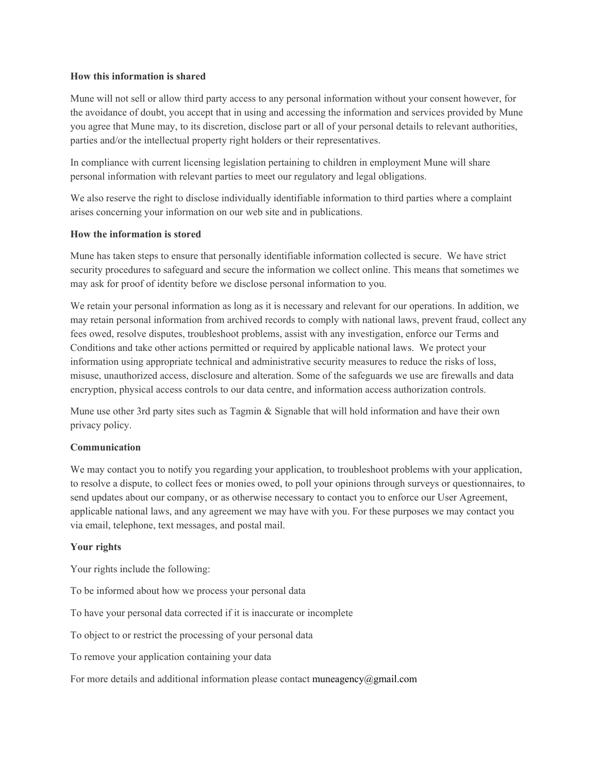## **How this information is shared**

Mune will not sell or allow third party access to any personal information without your consent however, for the avoidance of doubt, you accept that in using and accessing the information and services provided by Mune you agree that Mune may, to its discretion, disclose part or all of your personal details to relevant authorities, parties and/or the intellectual property right holders or their representatives.

In compliance with current licensing legislation pertaining to children in employment Mune will share personal information with relevant parties to meet our regulatory and legal obligations.

We also reserve the right to disclose individually identifiable information to third parties where a complaint arises concerning your information on our web site and in publications.

## **How the information is stored**

Mune has taken steps to ensure that personally identifiable information collected is secure. We have strict security procedures to safeguard and secure the information we collect online. This means that sometimes we may ask for proof of identity before we disclose personal information to you.

We retain your personal information as long as it is necessary and relevant for our operations. In addition, we may retain personal information from archived records to comply with national laws, prevent fraud, collect any fees owed, resolve disputes, troubleshoot problems, assist with any investigation, enforce our Terms and Conditions and take other actions permitted or required by applicable national laws. We protect your information using appropriate technical and administrative security measures to reduce the risks of loss, misuse, unauthorized access, disclosure and alteration. Some of the safeguards we use are firewalls and data encryption, physical access controls to our data centre, and information access authorization controls.

Mune use other 3rd party sites such as Tagmin & Signable that will hold information and have their own privacy policy.

#### **Communication**

We may contact you to notify you regarding your application, to troubleshoot problems with your application, to resolve a dispute, to collect fees or monies owed, to poll your opinions through surveys or questionnaires, to send updates about our company, or as otherwise necessary to contact you to enforce our User Agreement, applicable national laws, and any agreement we may have with you. For these purposes we may contact you via email, telephone, text messages, and postal mail.

#### **Your rights**

Your rights include the following:

To be informed about how we process your personal data

To have your personal data corrected if it is inaccurate or incomplete

To object to or restrict the processing of your personal data

To remove your application containing your data

For more details and additional information please contact muneagency $@g$ gmail.com